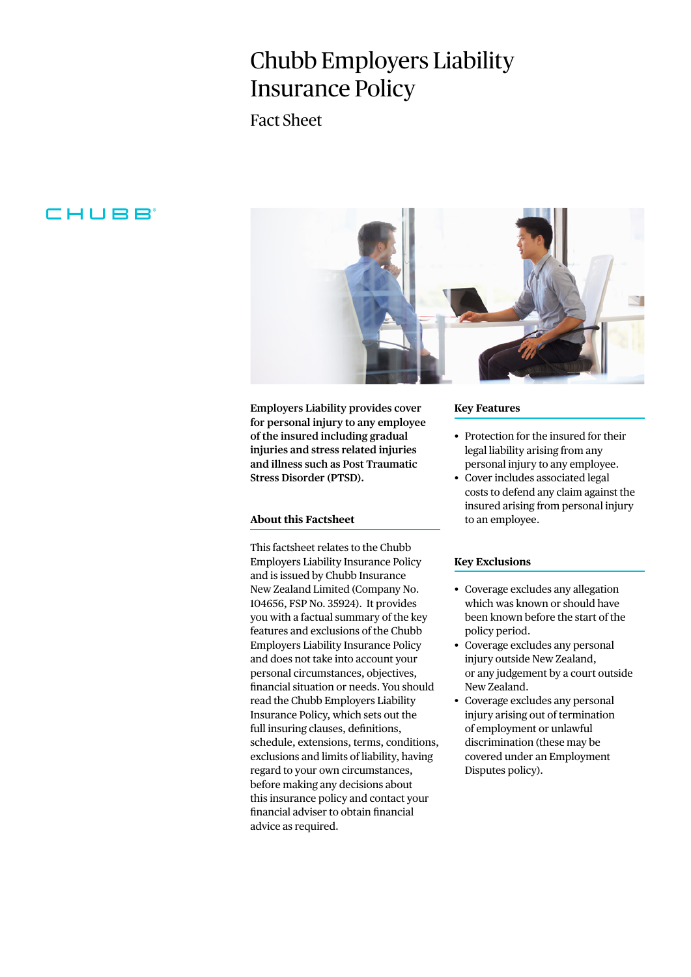# Chubb Employers Liability Insurance Policy

Fact Sheet

# CHUBB



**Employers Liability provides cover for personal injury to any employee of the insured including gradual injuries and stress related injuries and illness such as Post Traumatic Stress Disorder (PTSD).**

## **About this Factsheet**

This factsheet relates to the Chubb Employers Liability Insurance Policy and is issued by Chubb Insurance New Zealand Limited (Company No. 104656, FSP No. 35924). It provides you with a factual summary of the key features and exclusions of the Chubb Employers Liability Insurance Policy and does not take into account your personal circumstances, objectives, financial situation or needs. You should read the Chubb Employers Liability Insurance Policy, which sets out the full insuring clauses, definitions, schedule, extensions, terms, conditions, exclusions and limits of liability, having regard to your own circumstances, before making any decisions about this insurance policy and contact your financial adviser to obtain financial advice as required.

#### **Key Features**

- Protection for the insured for their legal liability arising from any personal injury to any employee.
- Cover includes associated legal costs to defend any claim against the insured arising from personal injury to an employee.

## **Key Exclusions**

- Coverage excludes any allegation which was known or should have been known before the start of the policy period.
- Coverage excludes any personal injury outside New Zealand, or any judgement by a court outside New Zealand.
- Coverage excludes any personal injury arising out of termination of employment or unlawful discrimination (these may be covered under an Employment Disputes policy).